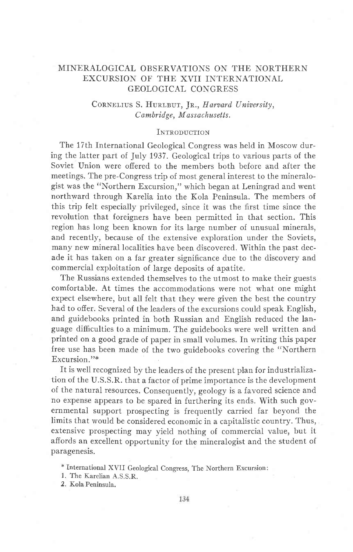# MINERALOGICAL OBSERVATIONS ON THE NORTHERN EXCURSION OF THE XVII INTERNATIONAL GEOLOGICAL CONGRESS

## CORNELIUS S. HURLBUT, JR., Harvard University, C ambridge, M assachusetts.

## INTRODUCTION

The 17th International Geological Congress was held in Moscow during the latter part of July 1937. Geological trips to various parts of the Soviet Union were offered to the members both before and after the meetings. The pre-Congress trip of most general interest to the mineralogist was the "Northern Excursion," which began at Leningrad and went northward through Karelia into the Kola Peninsula. The members of this trip felt especially privileged, since it was the first time since the revolution that foreigners have been permitted in that section. This region has long been known for its large number of unusual minerals, and recently, because of the extensive exploration under the Soviets, many new mineral localities have been discovered. Within the past decade it has taken on a far greater significance due to the discovery and commercial exploitation of large deposits of apatite.

The Russians extended themselves to the utmost to make their guests comfortable. At times the accommodations were not what one might expect elsewhere, but all felt that they were given the best the country had to offer. Several of the leaders of the excursions could speak English, and guidebooks printed in both Russian and English reduced the language difficulties to a minimum. The guidebooks were well written and printed on a good grade of paper in small volumes. In writing this paper free use has been made of the two guidebooks covering the "Northern  $Excursion.$ <sup>\*\*</sup>

It is well recognized by the leaders of the present plan for industrialization of the U.S.S.R. that a factor of prime importance is the development of the natural resources. Consequently, geology is a favored science and no expense appears to be spared in furthering its ends. With such governmental support prospecting is frequently carried far beyond the limits that would be considered economic in a capitalistic country. Thus, extensive prospecting may yield nothing of commercial value, but it affords an excellent opportunity for the mineralogist and the student of paragenesis.

\* International XVII Geologicai Congress, The Northern Excursion:

1. The Karelian A.S.S.R.

2. Kola Peninsula,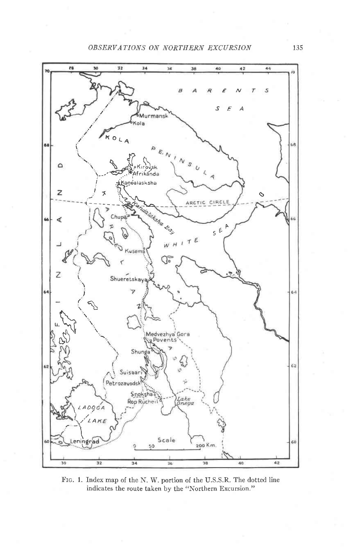OBSERVATIONS ON NORTHERN EXCURSION 135



FIG. 1. Index map of the N. W. portion of the U.S.S.R. The dotted line indicates the route taken by the "Northern Excursion."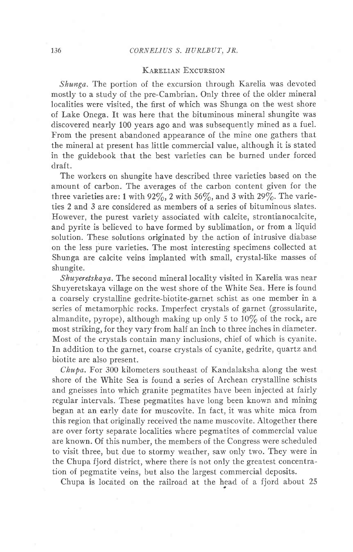#### 136 CORNELIUS S. HURLBUT, JR.

## **KARELIAN EXCURSION**

Shunga. The portion of the excursion through Karelia was devoted mostly to a study of the pre-Cambrian. Only three of the older mineral localities were visited, the first of which was Shunga on the west shore of Lake Onega. It was here that the bituminous mineral shungite was discovered nearly 100 years ago and was subsequently mined as a fuel. From the present abandoned appearance of the mine one gathers that the mineral at present has little commercial value, although it is stated in the guidebook that the best varieties can be burned under forced draft.

The workers on shungite have described three varieties based on the amount of carbon. The averages of the carbon content given for the three varieties are: 1 with 92%, 2 with 56%, and 3 with 29%. The varieties 2 and 3 are considered as members of a series of bituminous slates. However, the purest variety associated with calcite, strontianocalcite, and pyrite is believed to have formed by sublimation, or from a liquid solution. These solutions originated by the action of intrusive diabase on the less pure varieties. The most interesting specimens collected at Shunga are calcite veins implanted with small, crystal-like masses of shungite.

Shuyeretskaya. The second mineral locality visited in Karelia was near Shuyeretskaya village on the west shore of the White Sea. Here is found a coarsely crystalline gedrite-biotite-garnet schist as one member in a series of metamorphic rocks. Imperfect crystals of garnet (grossularite, almandite, pyrope), although making up only 5 to  $10\%$  of the rock, are most striking, for they vary from half an inch to three inches in diameter. Most of the crystals contain many inclusions, chief of which is cyanite. In addition to the garnet, coarse crystals of cyanite, gedrite, quartz and biotite are also present.

Chupa. For 300 kilometers southeast of Kandalaksha along the west shore of the White Sea is found a series of Archean crystalline schists and gneisses into which granite pegmatites have been injected at fairly regular intervals. These pegmatites have long been known and mining began at an early date for muscovite. In fact, it was white mica from this region that originally received the name muscovite. Altogether there are over forty separate localities where pegmatites of commercial value are known. Of this number, the members of the Congress were scheduled to visit three, but due to stormy weather, saw only two. They were in the Chupa fjord district, where there is not only the greatest concentration of pegmatite veins, but also the largest commercial deposits.

Chupa is located on the railroad at the head of a fjord about 25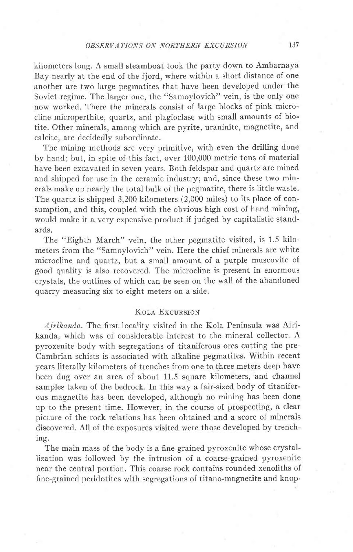kilometers long. A small steamboat took the party down to Ambarnaya Bay nearly at the end of the fjord, where within a short distance of one another are two large pegmatites that have been developed under the Soviet regime. The larger one, the "Samoylovich" vein, is the only one now worked. There the minerals consist of large blocks of pink microcline-microperthite, quartz, and plagioclase with small amounts of biotite. Other minerals, among which are pyrite, uraninite, magnetite, and calcite, are decidedly subordinate.

The mining methods are very primitive, with even the drilling done by hand; but, in spite of this fact, over 100,000 metric tons of material have been excavated in seven years. Both feldspar and quartz are mined and shipped for use in the ceramic industry; and, since these two minerals make up nearly the total bulk of the pegmatite, there is little waste. The quartz is shipped 3,200 kilometers (2,000 miles) to its place of consumption, and this, coupled with the obvious high cost of hand mining, would make it a very expensive product if judged by capitalistic standards.

The "Eighth March" vein, the other pegmatite visited, is 1.5 kilometers from the "Samoylovich" vein. Here the chief minerals are white microcline and quartz, but a small amount of a purple muscovite of good quality is also recovered. The microcline is present in enormous crystals, the outlines of which can be seen on the wall of the abandoned quarry measuring six to eight meters on a side.

## KOLA EXCURSION

Afrikanda. The first locality visited in the Kola Peninsula was Afrikanda, which was of considerable interest to the mineral collector. A pyroxenite body with segregations of titaniferous ores cutting the pre-Cambrian schists is associated with alkaline pegmatites. Within recent years literally kilometers of trenches from one to three meters deep have been dug over an area of about 11.5 square kilometers, and channel samples taken of the bedrock. In this way a fair-sized body of titaniferous magnetite has been developed, although no mining has been done up to the present time. However, in the course of prospecting, a clear picture of the rock relations has been obtained and a score of minerals discovered. All of the exposures visited were those developed by trenching.

The main mass of the body is a fine-grained pyroxenite whose crystallization was followed by the intrusion of a coarse-grained pyroxenite near the central portion. This coarse rock contains rounded xenoliths of fine-grained peridotites with segregations of titano-magnetite and knop.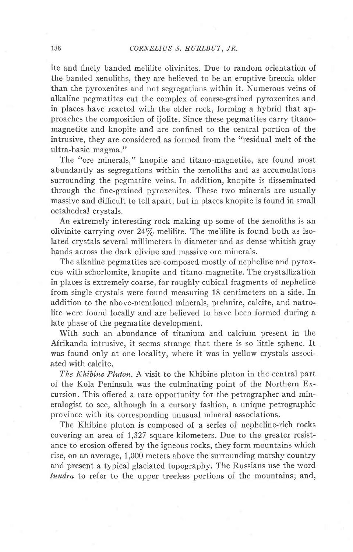ite and finely banded melilite olivinites. Due to random orientation of the banded xenoliths, they are believed to be an eruptive breccia older than the pyroxenites and not segregations within it. Numerous veins of alkaline pegmatites cut the complex of coarse-grained pyroxenites and in places have reacted with the older rock, forming a hybrid that approaches the composition of ijolite. Since these pegmatites carry titanomagnetite and knopite and are confined to the central portion of the intrusive, they are considered as formed from the "residual melt of the ultra-basic magma."

The "ore minerals," knopite and titano-magnetite, are found most abundantly as segregations within the xenoliths and as accumulations surrounding the pegmatite veins. In addition, knopite is disseminated through the fine-grained pyroxenites. These two minerals are usually massive and difficult to tell apart, but in places knopite is found in small octahedral crystals.

An extremely interesting rock making up some of the xenoliths is an olivinite carrying over  $24\%$  melilite. The melilite is found both as isolated crystals several millimeters in diameter and as dense whitish gray bands across the dark olivine and massive ore minerals.

The alkaline pegmatites are composed mostly of nepheline and pyroxene with schorlomite, knopite and titano-magnetite. The crystallization in places is extremely coarse, for roughly cubical fragments of nepheline from single crystals were found measuring 18 centimeters on a side. In addition to the above-mentioned minerals, prehnite, calcite, and natrolite were found locally and are believed to have been formed during a late phase of the pegmatite development.

With such an abundance of titanium and calcium present in the Afrikanda intrusive, it seems strange that there is so little sphene. It was found only at one locality, where it was in yellow crystals associated with calcite.

The Khibine Pluton. A visit to the Khibine pluton in the central part of the Kola Peninsula was the culminating point of the Northern Excursion. This offered a rare opportunity for the petrographer and mineralogist to see, although in a cursory fashion, a unique petrographic province with its corresponding unusual mineral associations.

The Khibine pluton is composed of a series of nepheline-rich rocks covering an area of 1,327 square kilometers. Due to the greater resistance to erosion ofiered by the igneous rocks, they form mountains which rise, on an average, 1,000 meters above the surrounding marshy country and present a typical glaciated topography. The Russians use the word tundra to refer to the upper treeless portions of the mountains; and,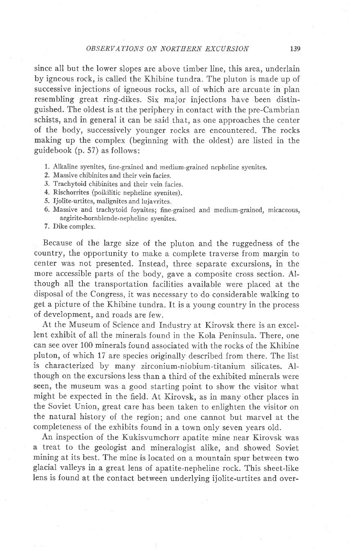#### OBSERVATIONS ON NORTHERN EXCURSION

since all but the lower slopes are above timber line, this area, underlain by igneous rock, is called the Khibine tundra. The pluton is made up of successive injections of igneous rocks, all of which are arcuate in plan resembling great ring-dikes. Six major injections have been distinguished. The oldest is at the periphery in contact with the pre-Cambrian schists, and in general it can be said that, as one approaches the center of the body, successively younger rocks are encountered. The rocks making up the complex (beginning with the oldest) are listed in the guidebook (p. 57) as follows:

- 1. Alkaline syenites, fine-grained and medium-grained nepheline syenites.
- 2. Massive chibinites and their vein facies.
- 3. Trachytoid chibinites and their vein facies.
- 4. Rischorrites (poikilitic nepheline syenites).
- 5. Ijolite-urtites, malignites and lujavrites
- 6. Massive and trachytoid foyaites; fine-grained and medium-grained, micaceous, aegirite-hornblende-nepheline syenites.
- 7. Dike complex.

Because of the large size of the pluton and the ruggedness of the country, the opportunity to make a complete traverse from margin to center was not presented. Instead, three separate excursions, in the more accessible parts of the body, gave a composite cross section. Although all the transportation facilities available were placed at the disposal of the Congress, it was necessary to do considerable walking to get a picture of the Khibine tundra. It is a young country in the process of development, and roads are few.

At the Museum of Science and Industry at Kirovsk there is an excellent exhibit of all the minerals found in the Kola Peninsula. There, one can see over 100 minerals found associated with the rocks of the Khibine pluton, of which 17 are species originally described from there. The list is characterized by many zirconium-niobium-titanium silicates. Although on the excursions less than a third of the exhibited minerals were seen, the museum was a good starting point to show the visitor what might be expected in the field. At Kirovsk, as in many other places in the Soviet Union, great care has been taken to enlighten the visitor on the natural history of the region; and one cannot but marvel at the completeness of the exhibits found in a town only seven years old.

An inspection of the Kukisvumchorr apatite mine near Kirovsk was a treat to the geologist and mineralogist alike, and showed Soviet mining at its best. The mine is located on a mountain spur between two glacial valleys in a great lens of apatite-nepheline rock. This sheet-like lens is found at the contact between underlying ijolite-urtites and over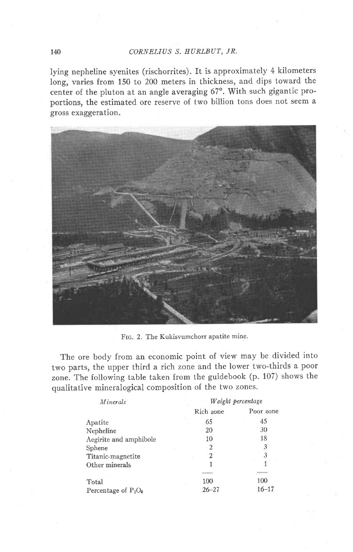lying nepheline syenites (rischorrites). It is approximately 4 kilometers long, varies from 150 to 200 meters in thickness, and dips toward the center of the pluton at an angle averaging 67°. With such gigantic proportions, the estimated ore reserve of two billion tons does not seem a gross exaggeration.



FIG. 2. The Kukisvumchorr apatite mine.

The ore body from an economic point of view may be divided into two parts, the upper third a rich zone and the lower two-thirds a poor zone. The following table taken from the guidebook (p. 107) shows the qualitative mineralogical composition of the two zones.

| Minerals               | Weight percentage |           |           |
|------------------------|-------------------|-----------|-----------|
|                        |                   | Rich zone | Poor zone |
| Apatite                |                   | 65        | 45        |
| Nepheline              |                   | 20        | 30        |
| Aegirite and amphibole |                   | 10        | 18        |
| Sphene                 |                   | 2         | 3         |
| Titanic-magnetite      |                   | 2         | 3         |
| Other minerals         |                   |           |           |
|                        |                   |           |           |
| Total                  |                   | 100       | 100       |
| Percentage of $P_2O_6$ |                   | $26 - 27$ | $16 - 17$ |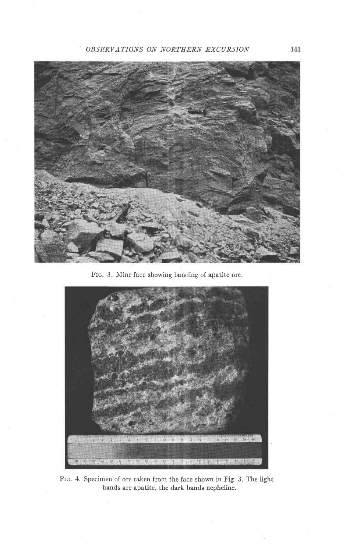OBSERVATIONS ON NORTHERN EXCURSION



FIG. 3. Mine face showing banding of apatite ore.



Frc. 4. Specimen of ore taken from the face shown in Fig. 3. The light bands are apatite, the dark bands nepheline.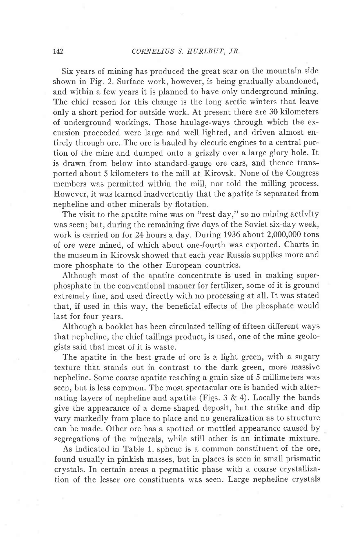Six years of mining has produced the great scar on the mountain side shown in Fig. 2. Surface work, however, is being gradually abandoned, and within a few years it is planned to have only underground mining. The chief reason for this change is the long arctic winters that leave only a short period for outside work. At present there are 30 kilometers of underground workings. Those haulage-ways through which the excursion proceeded were large and well lighted, and driven almost entirely through ore. The ore is hauled by electric engines to a central portion of the mine and dumped onto a grizzly over a large glory hole. It is drawn from below into standard-gauge ore cars, and thence transported about 5 kilometers to the mill at Kirovsk. None of the Congress members was permitted within the mill, nor told the milling process. However, it was learned inadvertently that the apatite is separated from nepheline and other minerals by flotation.

The visit to the apatite mine was on "rest day," so no mining activity was seen; but, during the remaining five days of the Soviet six-day week, work is carried on for 24 hours a day. During 1936 about 2,000,000 tons of ore were mined, of which about one-fourth was exported. Charts in the museum in Kirovsk showed that each year Russia supplies more and more phosphate to the other European countries.

Although most of the apatite concentrate is used in making superphosphate in the conventional manner for fertilizer, some of it is ground extremely fine, and used directly with no processing at all. It was stated that, if used in this way, the beneficial effects of the phosphate would last for four years.

Although a booklet has been circulated telling of fifteen different ways that nepheline, the chief tailings product, is used, one of the mine geologists said that most of it is waste.

The apatite in the best grade of ore is a light green, with a sugary texture that stands out in contrast to the dark green, more massive nepheline. Some coarse apatite reaching a grain size of 5 millimeters was seen, but is less common. The most spectacular ore is banded with alternating layers of nepheline and apatite (Figs. 3 & 4). Locally the bands give the appearance of a dome-shaped deposit, but the strike and dip vary markedly from place to place and no generalization as to structure can be made- Other ore has a spotted or mottled appearance caused by segregations of the minerals, while still other is an intimate mixture.

As indicated in Table 1, sphene is a common constituent of the ore, found usually in pinkish masses, but in places is seen in small prismatic crystals. fn certain areas a pegmatitic phase with a coarse crystallization of the lesser ore constituents was seen. Large nepheline crystals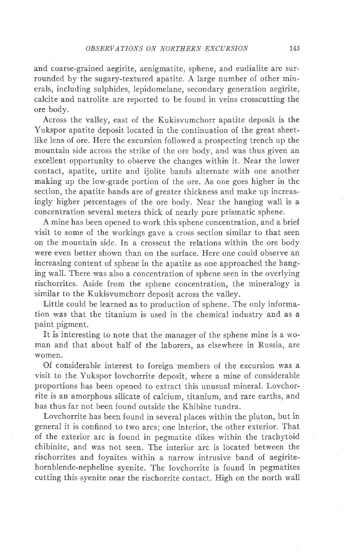and coarse-grained aegirite, aenigmatite, sphene, and eudialite are surrounded by the sugary-textured apatite. A large number of other minerals, including sulphides, lepidomelane, secondary generation aegirite, calcite and natrolite are reported to be found in veins crosscutting the ore body.

Across the valley, east of the Kukisvumchorr apatite deposit is the Yukspor apatite deposit located in the continuation of the great sheetlike lens of ore. Here the excursion followed a prospecting trench up the mountain side across the strike of the ore body, and was thus given an excellent opportunity to observe the changes within it. Near the lower contact, apatite, urtite and ijolite bands alternate with one another making up the low-grade portion of the ore. As one goes higher in the section, the apatite bands are of greater thickness and make up increasingly higher percentages of the ore body. Near the hanging wall is a concentration several meters thick of nearly pure prismatic sphene.

A mine has been opened to work this sphene concentration, and a brief visit to some of the workings gave a cross section similar to that seen on the mountain side. fn a crosscut the relations within the ore body were even better shown than on the surface. Here one could observe an increasing content of sphene in the apatite as one approached the hanging wall. There was also a concentration of sphene seen in the overlying rischorrites. Aside from the sphene concentration, the mineralogy is similar to the Kukisvumchorr deposit across the valley.

Little could be learned as to production of sphene. The only information was that the titanium is used in the chemical industry and as a paint pigment.

It is interesting to note that the manager of the sphene mine is a woman and that about half of the laborers, as elsewhere in Russia, are women.

Of considerable interest to foreign members of the excursion was a visit to the Yukspor lovchorrite deposit, where a mine of considerable proportions has been opened to extract this unusual mineral. Lovchorrite is an amorphous silicate of calcium, titanium, and rare earths, and has thus far not been found outside the Khibine tundra.

Lovchorrite has been found in several places within the pluton, but in general it is confined to two arcs; one interior, the other exterior. That of the exterior arc is found in pegmatite dikes within the trachytoid chibinite, and was not seen. The interior arc is located between the rischorrites and foyaites within a narrow intrusive band of aegiritehornblende-nepheline syenite. The lovchorrite is found in pegmatites cutting this syenite near the rischorrite contact. High on the north wall